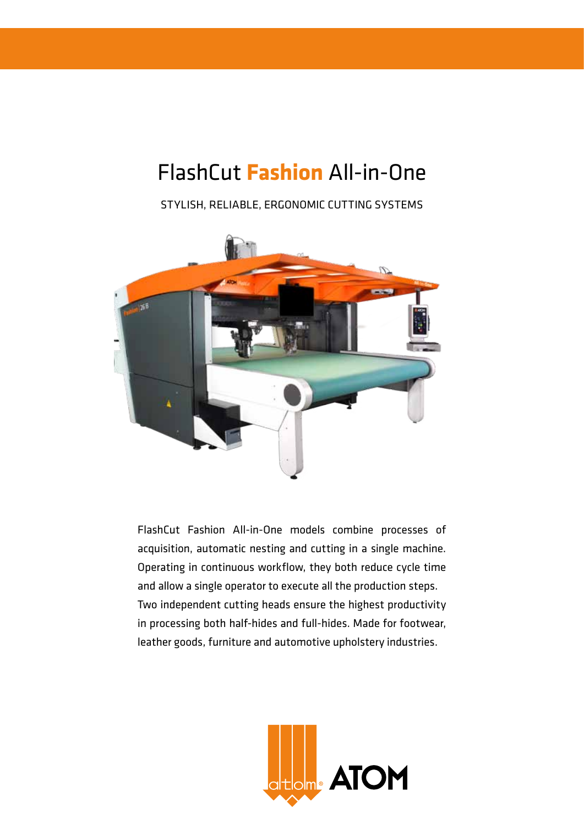# FlashCut **Fashion** All-in-One

STYLISH, RELIABLE, ERGONOMIC CUTTING SYSTEMS



FlashCut Fashion All-in-One models combine processes of acquisition, automatic nesting and cutting in a single machine. Operating in continuous workflow, they both reduce cycle time and allow a single operator to execute all the production steps. Two independent cutting heads ensure the highest productivity in processing both half-hides and full-hides. Made for footwear, leather goods, furniture and automotive upholstery industries.